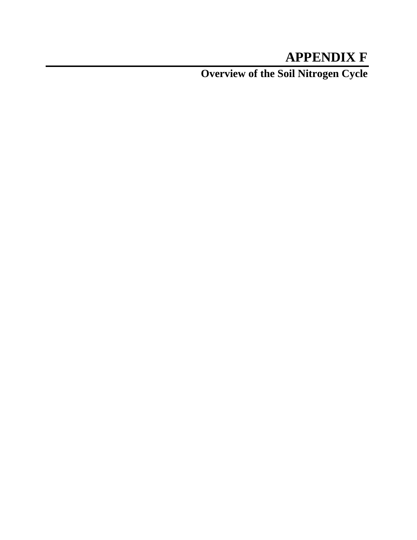## **APPENDIX F**

**Overview of the Soil Nitrogen Cycle**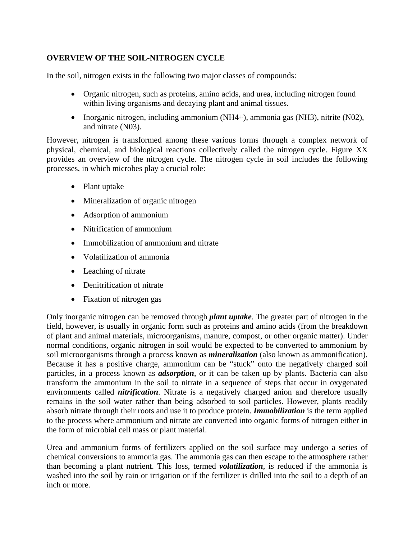## **OVERVIEW OF THE SOIL-NITROGEN CYCLE**

In the soil, nitrogen exists in the following two major classes of compounds:

- Organic nitrogen, such as proteins, amino acids, and urea, including nitrogen found within living organisms and decaying plant and animal tissues.
- Inorganic nitrogen, including ammonium (NH4+), ammonia gas (NH3), nitrite (N02), and nitrate (N03).

However, nitrogen is transformed among these various forms through a complex network of physical, chemical, and biological reactions collectively called the nitrogen cycle. Figure XX provides an overview of the nitrogen cycle. The nitrogen cycle in soil includes the following processes, in which microbes play a crucial role:

- Plant uptake
- Mineralization of organic nitrogen
- Adsorption of ammonium
- Nitrification of ammonium
- Immobilization of ammonium and nitrate
- Volatilization of ammonia
- Leaching of nitrate
- Denitrification of nitrate
- Fixation of nitrogen gas

Only inorganic nitrogen can be removed through *plant uptake*. The greater part of nitrogen in the field, however, is usually in organic form such as proteins and amino acids (from the breakdown of plant and animal materials, microorganisms, manure, compost, or other organic matter). Under normal conditions, organic nitrogen in soil would be expected to be converted to ammonium by soil microorganisms through a process known as *mineralization* (also known as ammonification). Because it has a positive charge, ammonium can be "stuck" onto the negatively charged soil particles, in a process known as *adsorption*, or it can be taken up by plants. Bacteria can also transform the ammonium in the soil to nitrate in a sequence of steps that occur in oxygenated environments called *nitrification*. Nitrate is a negatively charged anion and therefore usually remains in the soil water rather than being adsorbed to soil particles. However, plants readily absorb nitrate through their roots and use it to produce protein. *Immobilization* is the term applied to the process where ammonium and nitrate are converted into organic forms of nitrogen either in the form of microbial cell mass or plant material.

Urea and ammonium forms of fertilizers applied on the soil surface may undergo a series of chemical conversions to ammonia gas. The ammonia gas can then escape to the atmosphere rather than becoming a plant nutrient. This loss, termed *volatilization*, is reduced if the ammonia is washed into the soil by rain or irrigation or if the fertilizer is drilled into the soil to a depth of an inch or more.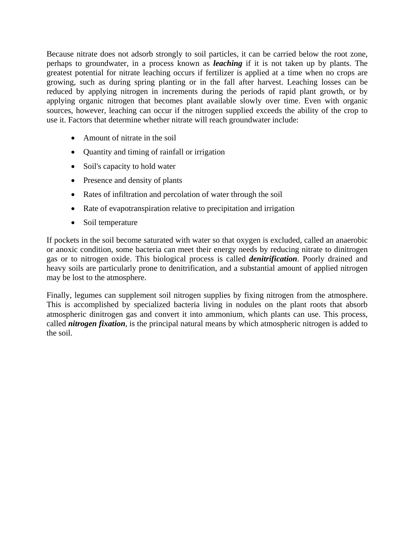Because nitrate does not adsorb strongly to soil particles, it can be carried below the root zone, perhaps to groundwater, in a process known as *leaching* if it is not taken up by plants. The greatest potential for nitrate leaching occurs if fertilizer is applied at a time when no crops are growing, such as during spring planting or in the fall after harvest. Leaching losses can be reduced by applying nitrogen in increments during the periods of rapid plant growth, or by applying organic nitrogen that becomes plant available slowly over time. Even with organic sources, however, leaching can occur if the nitrogen supplied exceeds the ability of the crop to use it. Factors that determine whether nitrate will reach groundwater include:

- Amount of nitrate in the soil
- Quantity and timing of rainfall or irrigation
- Soil's capacity to hold water
- Presence and density of plants
- Rates of infiltration and percolation of water through the soil
- Rate of evapotranspiration relative to precipitation and irrigation
- Soil temperature

If pockets in the soil become saturated with water so that oxygen is excluded, called an anaerobic or anoxic condition, some bacteria can meet their energy needs by reducing nitrate to dinitrogen gas or to nitrogen oxide. This biological process is called *denitrification*. Poorly drained and heavy soils are particularly prone to denitrification, and a substantial amount of applied nitrogen may be lost to the atmosphere.

Finally, legumes can supplement soil nitrogen supplies by fixing nitrogen from the atmosphere. This is accomplished by specialized bacteria living in nodules on the plant roots that absorb atmospheric dinitrogen gas and convert it into ammonium, which plants can use. This process, called *nitrogen fixation*, is the principal natural means by which atmospheric nitrogen is added to the soil.